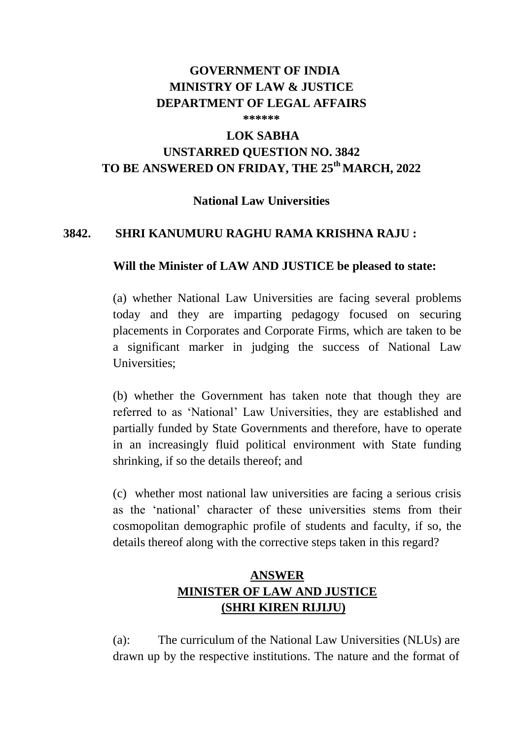## **GOVERNMENT OF INDIA MINISTRY OF LAW & JUSTICE DEPARTMENT OF LEGAL AFFAIRS**

**\*\*\*\*\*\***

# **LOK SABHA**

## **UNSTARRED QUESTION NO. 3842 TO BE ANSWERED ON FRIDAY, THE 25th MARCH, 2022**

#### **National Law Universities**

#### **3842. SHRI KANUMURU RAGHU RAMA KRISHNA RAJU :**

#### **Will the Minister of LAW AND JUSTICE be pleased to state:**

(a) whether National Law Universities are facing several problems today and they are imparting pedagogy focused on securing placements in Corporates and Corporate Firms, which are taken to be a significant marker in judging the success of National Law Universities;

(b) whether the Government has taken note that though they are referred to as 'National' Law Universities, they are established and partially funded by State Governments and therefore, have to operate in an increasingly fluid political environment with State funding shrinking, if so the details thereof; and

(c) whether most national law universities are facing a serious crisis as the 'national' character of these universities stems from their cosmopolitan demographic profile of students and faculty, if so, the details thereof along with the corrective steps taken in this regard?

## **ANSWER MINISTER OF LAW AND JUSTICE (SHRI KIREN RIJIJU)**

(a): The curriculum of the National Law Universities (NLUs) are drawn up by the respective institutions. The nature and the format of